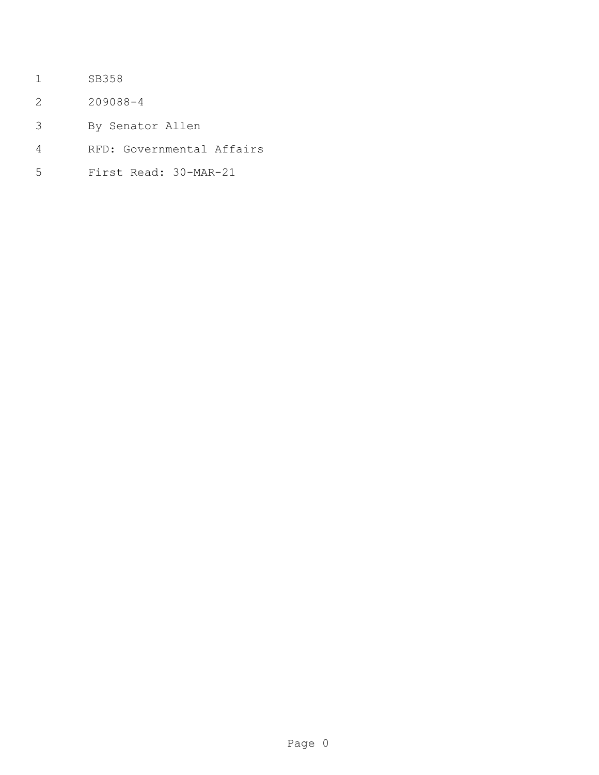- SB358
- 209088-4
- By Senator Allen
- RFD: Governmental Affairs
- First Read: 30-MAR-21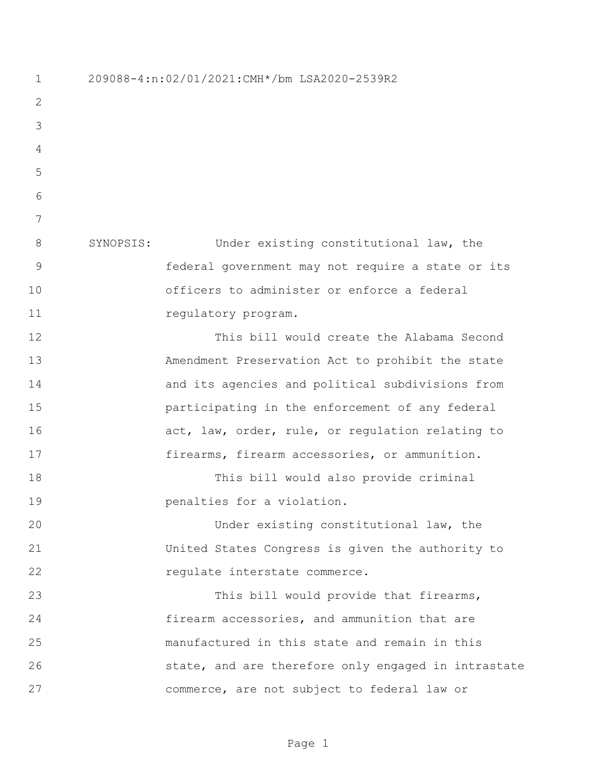209088-4:n:02/01/2021:CMH\*/bm LSA2020-2539R2 SYNOPSIS: Under existing constitutional law, the federal government may not require a state or its officers to administer or enforce a federal 11 regulatory program. This bill would create the Alabama Second Amendment Preservation Act to prohibit the state and its agencies and political subdivisions from participating in the enforcement of any federal 16 act, law, order, rule, or regulation relating to firearms, firearm accessories, or ammunition. This bill would also provide criminal penalties for a violation. Under existing constitutional law, the United States Congress is given the authority to 22 regulate interstate commerce. This bill would provide that firearms, firearm accessories, and ammunition that are manufactured in this state and remain in this 26 state, and are therefore only engaged in intrastate commerce, are not subject to federal law or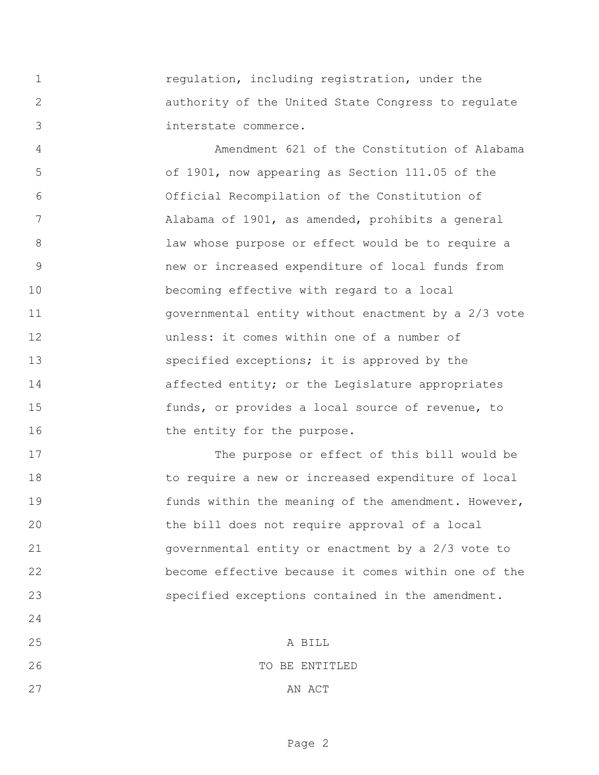regulation, including registration, under the authority of the United State Congress to regulate interstate commerce.

 Amendment 621 of the Constitution of Alabama of 1901, now appearing as Section 111.05 of the Official Recompilation of the Constitution of Alabama of 1901, as amended, prohibits a general law whose purpose or effect would be to require a new or increased expenditure of local funds from becoming effective with regard to a local governmental entity without enactment by a 2/3 vote unless: it comes within one of a number of specified exceptions; it is approved by the **affected entity;** or the Legislature appropriates funds, or provides a local source of revenue, to 16 the entity for the purpose.

 The purpose or effect of this bill would be to require a new or increased expenditure of local 19 funds within the meaning of the amendment. However, the bill does not require approval of a local governmental entity or enactment by a 2/3 vote to become effective because it comes within one of the specified exceptions contained in the amendment.

 A BILL 26 TO BE ENTITLED

27 AN ACT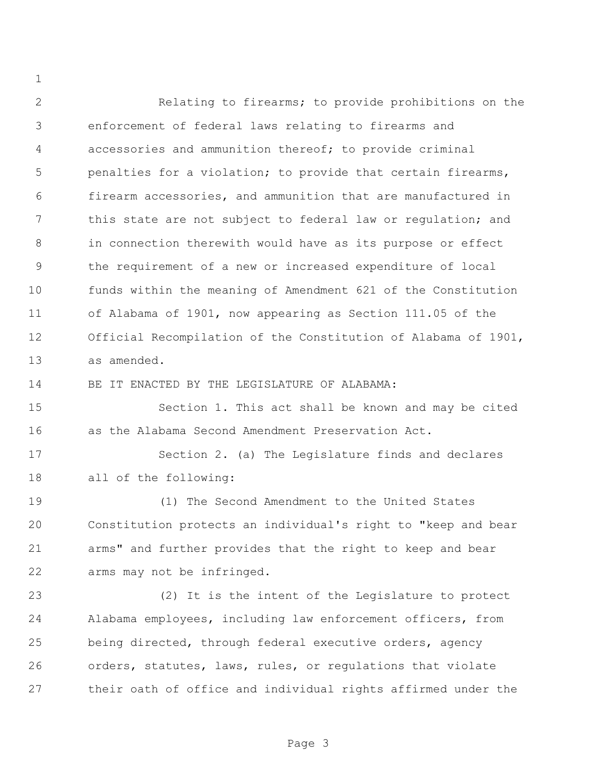Relating to firearms; to provide prohibitions on the enforcement of federal laws relating to firearms and accessories and ammunition thereof; to provide criminal penalties for a violation; to provide that certain firearms, firearm accessories, and ammunition that are manufactured in 7 this state are not subject to federal law or regulation; and in connection therewith would have as its purpose or effect the requirement of a new or increased expenditure of local funds within the meaning of Amendment 621 of the Constitution of Alabama of 1901, now appearing as Section 111.05 of the Official Recompilation of the Constitution of Alabama of 1901, as amended.

BE IT ENACTED BY THE LEGISLATURE OF ALABAMA:

 Section 1. This act shall be known and may be cited as the Alabama Second Amendment Preservation Act.

 Section 2. (a) The Legislature finds and declares all of the following:

 (1) The Second Amendment to the United States Constitution protects an individual's right to "keep and bear arms" and further provides that the right to keep and bear arms may not be infringed.

 (2) It is the intent of the Legislature to protect Alabama employees, including law enforcement officers, from being directed, through federal executive orders, agency orders, statutes, laws, rules, or regulations that violate their oath of office and individual rights affirmed under the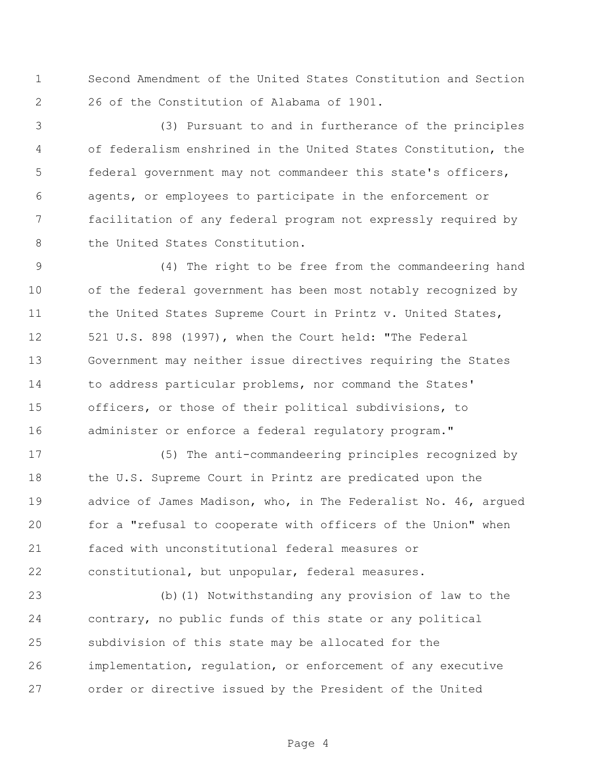Second Amendment of the United States Constitution and Section 26 of the Constitution of Alabama of 1901.

 (3) Pursuant to and in furtherance of the principles of federalism enshrined in the United States Constitution, the federal government may not commandeer this state's officers, agents, or employees to participate in the enforcement or facilitation of any federal program not expressly required by 8 the United States Constitution.

 (4) The right to be free from the commandeering hand of the federal government has been most notably recognized by 11 the United States Supreme Court in Printz v. United States, 521 U.S. 898 (1997), when the Court held: "The Federal Government may neither issue directives requiring the States to address particular problems, nor command the States' officers, or those of their political subdivisions, to 16 administer or enforce a federal regulatory program."

 (5) The anti-commandeering principles recognized by 18 the U.S. Supreme Court in Printz are predicated upon the advice of James Madison, who, in The Federalist No. 46, argued for a "refusal to cooperate with officers of the Union" when faced with unconstitutional federal measures or constitutional, but unpopular, federal measures.

 (b)(1) Notwithstanding any provision of law to the contrary, no public funds of this state or any political subdivision of this state may be allocated for the implementation, regulation, or enforcement of any executive order or directive issued by the President of the United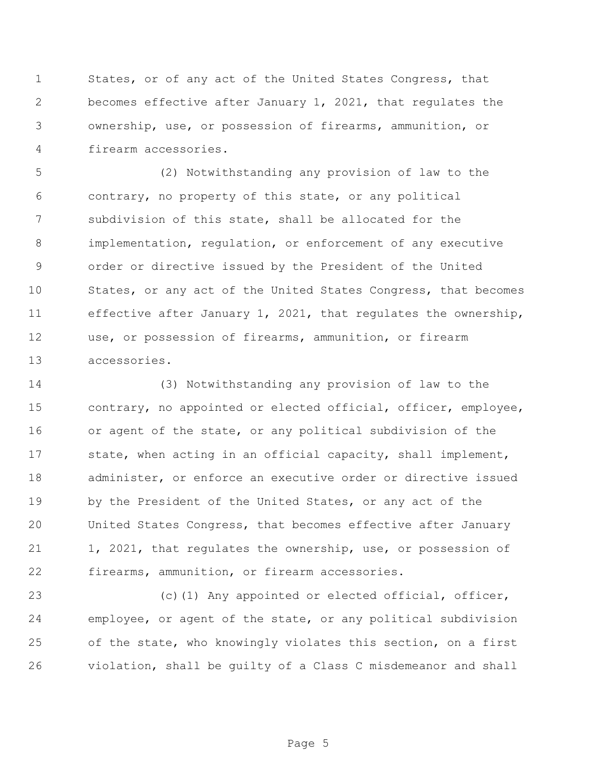States, or of any act of the United States Congress, that becomes effective after January 1, 2021, that regulates the ownership, use, or possession of firearms, ammunition, or firearm accessories.

 (2) Notwithstanding any provision of law to the contrary, no property of this state, or any political subdivision of this state, shall be allocated for the implementation, regulation, or enforcement of any executive order or directive issued by the President of the United States, or any act of the United States Congress, that becomes effective after January 1, 2021, that regulates the ownership, use, or possession of firearms, ammunition, or firearm accessories.

 (3) Notwithstanding any provision of law to the contrary, no appointed or elected official, officer, employee, or agent of the state, or any political subdivision of the state, when acting in an official capacity, shall implement, administer, or enforce an executive order or directive issued by the President of the United States, or any act of the United States Congress, that becomes effective after January 21 1, 2021, that regulates the ownership, use, or possession of firearms, ammunition, or firearm accessories.

23 (c)(1) Any appointed or elected official, officer, employee, or agent of the state, or any political subdivision of the state, who knowingly violates this section, on a first violation, shall be guilty of a Class C misdemeanor and shall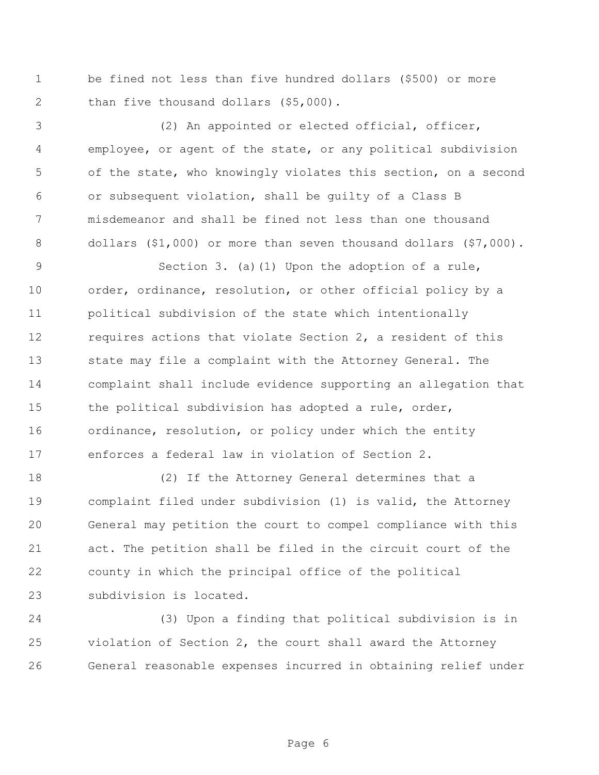be fined not less than five hundred dollars (\$500) or more 2 than five thousand dollars (\$5,000).

 (2) An appointed or elected official, officer, employee, or agent of the state, or any political subdivision of the state, who knowingly violates this section, on a second or subsequent violation, shall be guilty of a Class B misdemeanor and shall be fined not less than one thousand dollars (\$1,000) or more than seven thousand dollars (\$7,000).

 Section 3. (a)(1) Upon the adoption of a rule, order, ordinance, resolution, or other official policy by a political subdivision of the state which intentionally 12 requires actions that violate Section 2, a resident of this state may file a complaint with the Attorney General. The complaint shall include evidence supporting an allegation that 15 the political subdivision has adopted a rule, order, ordinance, resolution, or policy under which the entity enforces a federal law in violation of Section 2.

 (2) If the Attorney General determines that a complaint filed under subdivision (1) is valid, the Attorney General may petition the court to compel compliance with this act. The petition shall be filed in the circuit court of the county in which the principal office of the political subdivision is located.

 (3) Upon a finding that political subdivision is in violation of Section 2, the court shall award the Attorney General reasonable expenses incurred in obtaining relief under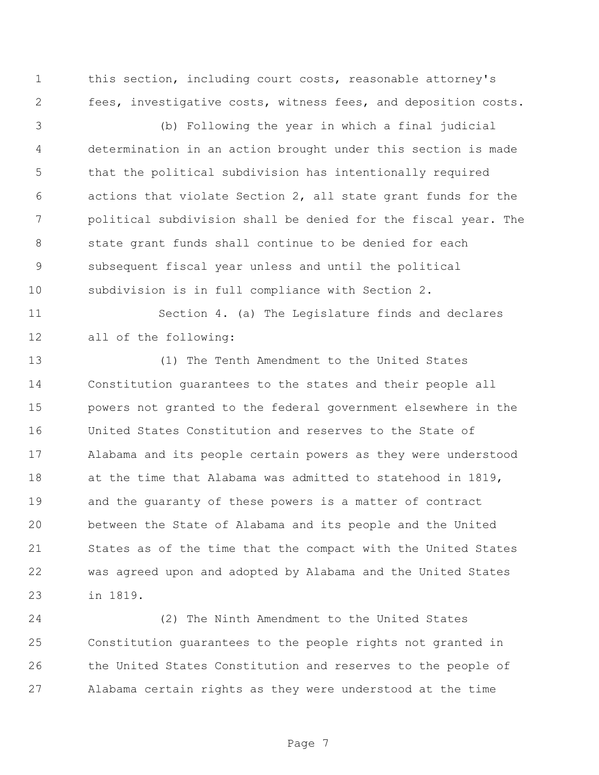this section, including court costs, reasonable attorney's fees, investigative costs, witness fees, and deposition costs.

 (b) Following the year in which a final judicial determination in an action brought under this section is made that the political subdivision has intentionally required actions that violate Section 2, all state grant funds for the political subdivision shall be denied for the fiscal year. The state grant funds shall continue to be denied for each subsequent fiscal year unless and until the political subdivision is in full compliance with Section 2.

 Section 4. (a) The Legislature finds and declares all of the following:

 (1) The Tenth Amendment to the United States Constitution guarantees to the states and their people all powers not granted to the federal government elsewhere in the United States Constitution and reserves to the State of Alabama and its people certain powers as they were understood at the time that Alabama was admitted to statehood in 1819, and the guaranty of these powers is a matter of contract between the State of Alabama and its people and the United States as of the time that the compact with the United States was agreed upon and adopted by Alabama and the United States in 1819.

 (2) The Ninth Amendment to the United States Constitution guarantees to the people rights not granted in the United States Constitution and reserves to the people of Alabama certain rights as they were understood at the time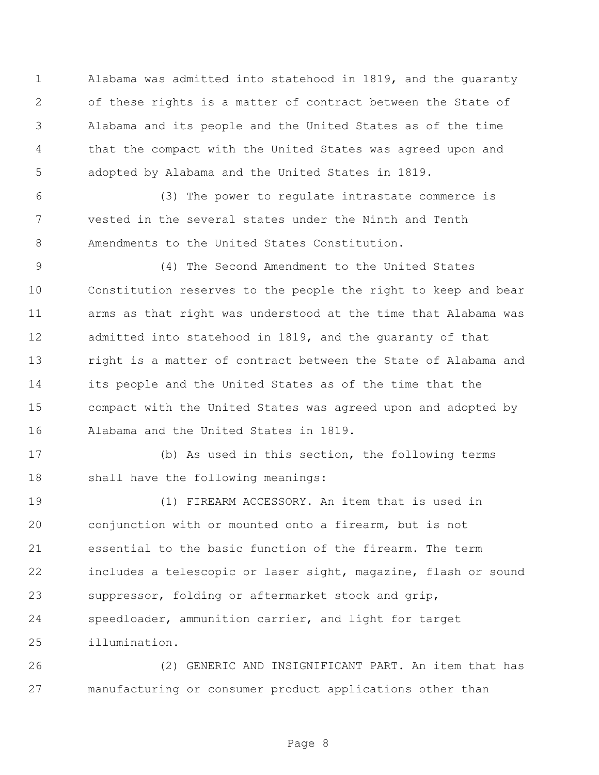Alabama was admitted into statehood in 1819, and the guaranty of these rights is a matter of contract between the State of Alabama and its people and the United States as of the time that the compact with the United States was agreed upon and adopted by Alabama and the United States in 1819.

 (3) The power to regulate intrastate commerce is vested in the several states under the Ninth and Tenth Amendments to the United States Constitution.

 (4) The Second Amendment to the United States Constitution reserves to the people the right to keep and bear arms as that right was understood at the time that Alabama was admitted into statehood in 1819, and the guaranty of that right is a matter of contract between the State of Alabama and its people and the United States as of the time that the compact with the United States was agreed upon and adopted by Alabama and the United States in 1819.

 (b) As used in this section, the following terms shall have the following meanings:

 (1) FIREARM ACCESSORY. An item that is used in conjunction with or mounted onto a firearm, but is not essential to the basic function of the firearm. The term includes a telescopic or laser sight, magazine, flash or sound suppressor, folding or aftermarket stock and grip, speedloader, ammunition carrier, and light for target illumination.

 (2) GENERIC AND INSIGNIFICANT PART. An item that has manufacturing or consumer product applications other than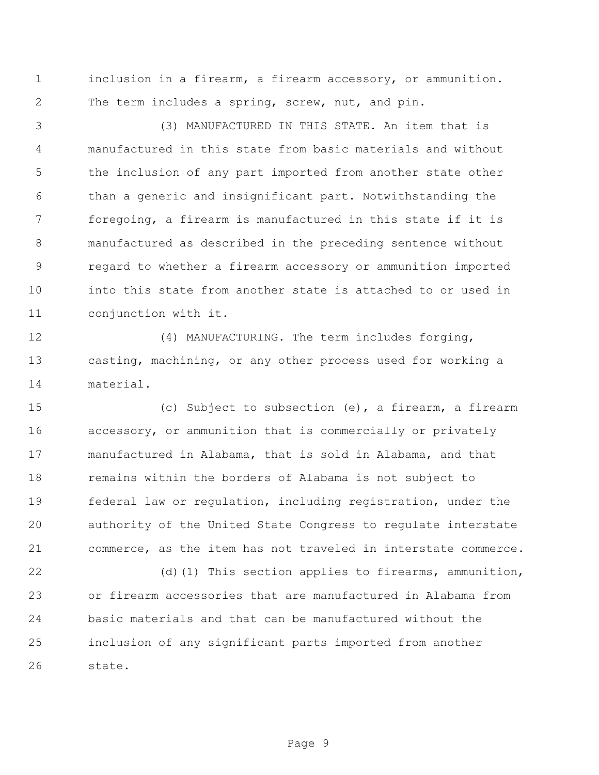inclusion in a firearm, a firearm accessory, or ammunition. The term includes a spring, screw, nut, and pin.

 (3) MANUFACTURED IN THIS STATE. An item that is manufactured in this state from basic materials and without the inclusion of any part imported from another state other than a generic and insignificant part. Notwithstanding the foregoing, a firearm is manufactured in this state if it is manufactured as described in the preceding sentence without regard to whether a firearm accessory or ammunition imported into this state from another state is attached to or used in conjunction with it.

 (4) MANUFACTURING. The term includes forging, casting, machining, or any other process used for working a material.

 (c) Subject to subsection (e), a firearm, a firearm accessory, or ammunition that is commercially or privately manufactured in Alabama, that is sold in Alabama, and that remains within the borders of Alabama is not subject to federal law or regulation, including registration, under the authority of the United State Congress to regulate interstate commerce, as the item has not traveled in interstate commerce.

22 (d)(1) This section applies to firearms, ammunition, or firearm accessories that are manufactured in Alabama from basic materials and that can be manufactured without the inclusion of any significant parts imported from another state.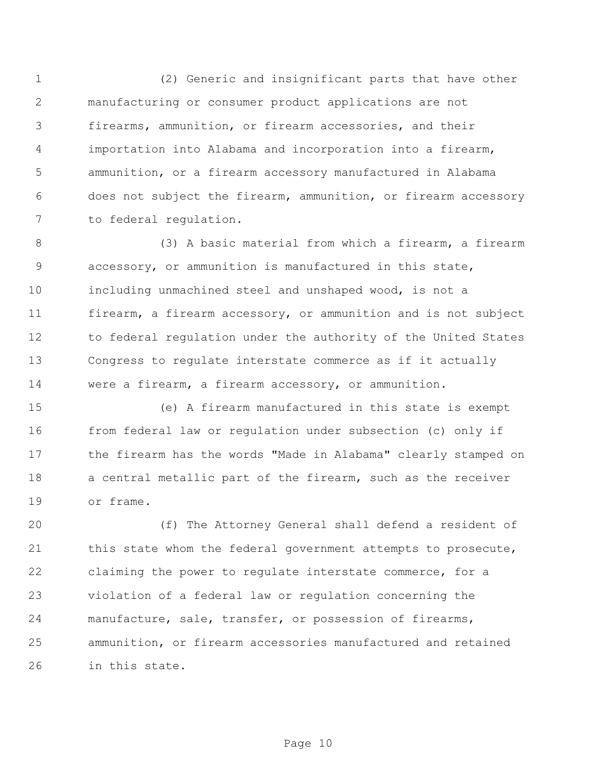(2) Generic and insignificant parts that have other manufacturing or consumer product applications are not firearms, ammunition, or firearm accessories, and their importation into Alabama and incorporation into a firearm, ammunition, or a firearm accessory manufactured in Alabama does not subject the firearm, ammunition, or firearm accessory to federal regulation.

 (3) A basic material from which a firearm, a firearm accessory, or ammunition is manufactured in this state, including unmachined steel and unshaped wood, is not a firearm, a firearm accessory, or ammunition and is not subject 12 to federal regulation under the authority of the United States Congress to regulate interstate commerce as if it actually were a firearm, a firearm accessory, or ammunition.

 (e) A firearm manufactured in this state is exempt from federal law or regulation under subsection (c) only if the firearm has the words "Made in Alabama" clearly stamped on 18 a central metallic part of the firearm, such as the receiver or frame.

 (f) The Attorney General shall defend a resident of 21 this state whom the federal government attempts to prosecute, claiming the power to regulate interstate commerce, for a violation of a federal law or regulation concerning the manufacture, sale, transfer, or possession of firearms, ammunition, or firearm accessories manufactured and retained in this state.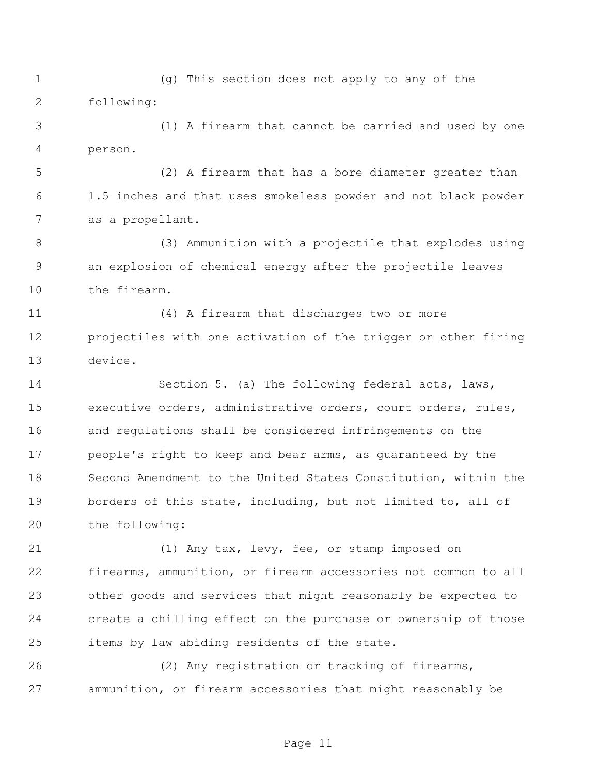(g) This section does not apply to any of the following:

 (1) A firearm that cannot be carried and used by one person.

 (2) A firearm that has a bore diameter greater than 1.5 inches and that uses smokeless powder and not black powder as a propellant.

 (3) Ammunition with a projectile that explodes using an explosion of chemical energy after the projectile leaves the firearm.

 (4) A firearm that discharges two or more projectiles with one activation of the trigger or other firing device.

 Section 5. (a) The following federal acts, laws, executive orders, administrative orders, court orders, rules, and regulations shall be considered infringements on the people's right to keep and bear arms, as guaranteed by the Second Amendment to the United States Constitution, within the 19 borders of this state, including, but not limited to, all of the following:

 (1) Any tax, levy, fee, or stamp imposed on firearms, ammunition, or firearm accessories not common to all other goods and services that might reasonably be expected to create a chilling effect on the purchase or ownership of those items by law abiding residents of the state.

 (2) Any registration or tracking of firearms, ammunition, or firearm accessories that might reasonably be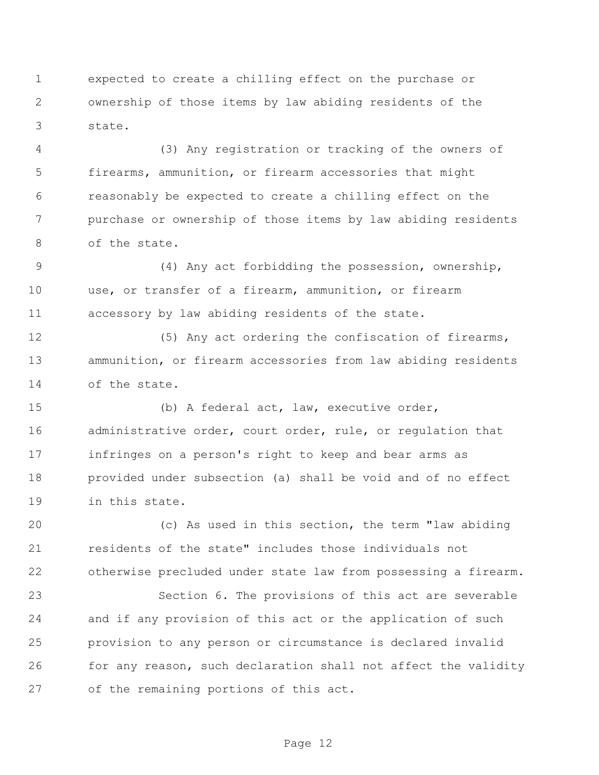expected to create a chilling effect on the purchase or ownership of those items by law abiding residents of the state.

 (3) Any registration or tracking of the owners of firearms, ammunition, or firearm accessories that might reasonably be expected to create a chilling effect on the purchase or ownership of those items by law abiding residents of the state.

 (4) Any act forbidding the possession, ownership, use, or transfer of a firearm, ammunition, or firearm accessory by law abiding residents of the state.

12 (5) Any act ordering the confiscation of firearms, ammunition, or firearm accessories from law abiding residents of the state.

 (b) A federal act, law, executive order, administrative order, court order, rule, or regulation that infringes on a person's right to keep and bear arms as provided under subsection (a) shall be void and of no effect in this state.

 (c) As used in this section, the term "law abiding residents of the state" includes those individuals not otherwise precluded under state law from possessing a firearm.

 Section 6. The provisions of this act are severable and if any provision of this act or the application of such provision to any person or circumstance is declared invalid for any reason, such declaration shall not affect the validity of the remaining portions of this act.